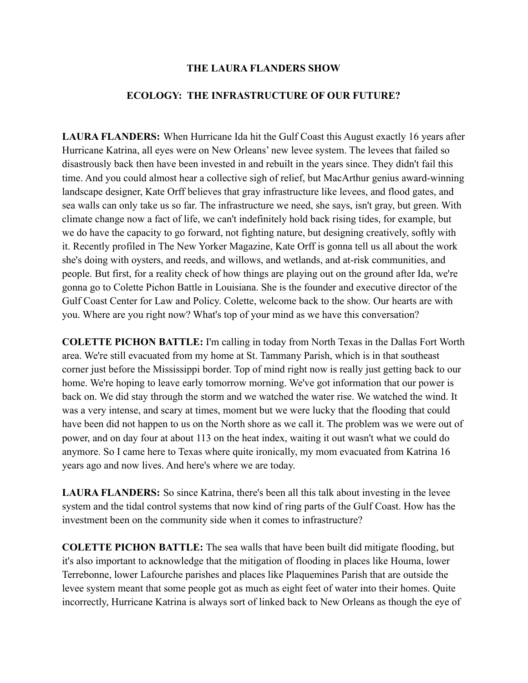## **THE LAURA FLANDERS SHOW**

## **ECOLOGY: THE INFRASTRUCTURE OF OUR FUTURE?**

**LAURA FLANDERS:** When Hurricane Ida hit the Gulf Coast this August exactly 16 years after Hurricane Katrina, all eyes were on New Orleans' new levee system. The levees that failed so disastrously back then have been invested in and rebuilt in the years since. They didn't fail this time. And you could almost hear a collective sigh of relief, but MacArthur genius award-winning landscape designer, Kate Orff believes that gray infrastructure like levees, and flood gates, and sea walls can only take us so far. The infrastructure we need, she says, isn't gray, but green. With climate change now a fact of life, we can't indefinitely hold back rising tides, for example, but we do have the capacity to go forward, not fighting nature, but designing creatively, softly with it. Recently profiled in The New Yorker Magazine, Kate Orff is gonna tell us all about the work she's doing with oysters, and reeds, and willows, and wetlands, and at-risk communities, and people. But first, for a reality check of how things are playing out on the ground after Ida, we're gonna go to Colette Pichon Battle in Louisiana. She is the founder and executive director of the Gulf Coast Center for Law and Policy. Colette, welcome back to the show. Our hearts are with you. Where are you right now? What's top of your mind as we have this conversation?

**COLETTE PICHON BATTLE:** I'm calling in today from North Texas in the Dallas Fort Worth area. We're still evacuated from my home at St. Tammany Parish, which is in that southeast corner just before the Mississippi border. Top of mind right now is really just getting back to our home. We're hoping to leave early tomorrow morning. We've got information that our power is back on. We did stay through the storm and we watched the water rise. We watched the wind. It was a very intense, and scary at times, moment but we were lucky that the flooding that could have been did not happen to us on the North shore as we call it. The problem was we were out of power, and on day four at about 113 on the heat index, waiting it out wasn't what we could do anymore. So I came here to Texas where quite ironically, my mom evacuated from Katrina 16 years ago and now lives. And here's where we are today.

**LAURA FLANDERS:** So since Katrina, there's been all this talk about investing in the levee system and the tidal control systems that now kind of ring parts of the Gulf Coast. How has the investment been on the community side when it comes to infrastructure?

**COLETTE PICHON BATTLE:** The sea walls that have been built did mitigate flooding, but it's also important to acknowledge that the mitigation of flooding in places like Houma, lower Terrebonne, lower Lafourche parishes and places like Plaquemines Parish that are outside the levee system meant that some people got as much as eight feet of water into their homes. Quite incorrectly, Hurricane Katrina is always sort of linked back to New Orleans as though the eye of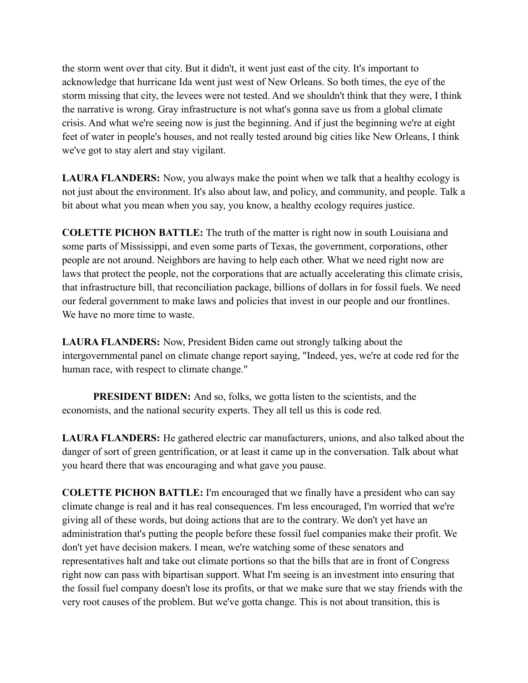the storm went over that city. But it didn't, it went just east of the city. It's important to acknowledge that hurricane Ida went just west of New Orleans. So both times, the eye of the storm missing that city, the levees were not tested. And we shouldn't think that they were, I think the narrative is wrong. Gray infrastructure is not what's gonna save us from a global climate crisis. And what we're seeing now is just the beginning. And if just the beginning we're at eight feet of water in people's houses, and not really tested around big cities like New Orleans, I think we've got to stay alert and stay vigilant.

**LAURA FLANDERS:** Now, you always make the point when we talk that a healthy ecology is not just about the environment. It's also about law, and policy, and community, and people. Talk a bit about what you mean when you say, you know, a healthy ecology requires justice.

**COLETTE PICHON BATTLE:** The truth of the matter is right now in south Louisiana and some parts of Mississippi, and even some parts of Texas, the government, corporations, other people are not around. Neighbors are having to help each other. What we need right now are laws that protect the people, not the corporations that are actually accelerating this climate crisis, that infrastructure bill, that reconciliation package, billions of dollars in for fossil fuels. We need our federal government to make laws and policies that invest in our people and our frontlines. We have no more time to waste.

**LAURA FLANDERS:** Now, President Biden came out strongly talking about the intergovernmental panel on climate change report saying, "Indeed, yes, we're at code red for the human race, with respect to climate change."

**PRESIDENT BIDEN:** And so, folks, we gotta listen to the scientists, and the economists, and the national security experts. They all tell us this is code red.

**LAURA FLANDERS:** He gathered electric car manufacturers, unions, and also talked about the danger of sort of green gentrification, or at least it came up in the conversation. Talk about what you heard there that was encouraging and what gave you pause.

**COLETTE PICHON BATTLE:** I'm encouraged that we finally have a president who can say climate change is real and it has real consequences. I'm less encouraged, I'm worried that we're giving all of these words, but doing actions that are to the contrary. We don't yet have an administration that's putting the people before these fossil fuel companies make their profit. We don't yet have decision makers. I mean, we're watching some of these senators and representatives halt and take out climate portions so that the bills that are in front of Congress right now can pass with bipartisan support. What I'm seeing is an investment into ensuring that the fossil fuel company doesn't lose its profits, or that we make sure that we stay friends with the very root causes of the problem. But we've gotta change. This is not about transition, this is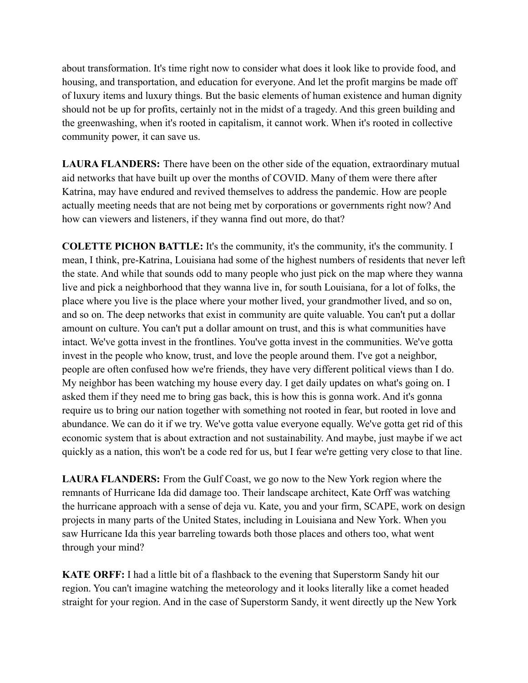about transformation. It's time right now to consider what does it look like to provide food, and housing, and transportation, and education for everyone. And let the profit margins be made off of luxury items and luxury things. But the basic elements of human existence and human dignity should not be up for profits, certainly not in the midst of a tragedy. And this green building and the greenwashing, when it's rooted in capitalism, it cannot work. When it's rooted in collective community power, it can save us.

**LAURA FLANDERS:** There have been on the other side of the equation, extraordinary mutual aid networks that have built up over the months of COVID. Many of them were there after Katrina, may have endured and revived themselves to address the pandemic. How are people actually meeting needs that are not being met by corporations or governments right now? And how can viewers and listeners, if they wanna find out more, do that?

**COLETTE PICHON BATTLE:** It's the community, it's the community, it's the community. I mean, I think, pre-Katrina, Louisiana had some of the highest numbers of residents that never left the state. And while that sounds odd to many people who just pick on the map where they wanna live and pick a neighborhood that they wanna live in, for south Louisiana, for a lot of folks, the place where you live is the place where your mother lived, your grandmother lived, and so on, and so on. The deep networks that exist in community are quite valuable. You can't put a dollar amount on culture. You can't put a dollar amount on trust, and this is what communities have intact. We've gotta invest in the frontlines. You've gotta invest in the communities. We've gotta invest in the people who know, trust, and love the people around them. I've got a neighbor, people are often confused how we're friends, they have very different political views than I do. My neighbor has been watching my house every day. I get daily updates on what's going on. I asked them if they need me to bring gas back, this is how this is gonna work. And it's gonna require us to bring our nation together with something not rooted in fear, but rooted in love and abundance. We can do it if we try. We've gotta value everyone equally. We've gotta get rid of this economic system that is about extraction and not sustainability. And maybe, just maybe if we act quickly as a nation, this won't be a code red for us, but I fear we're getting very close to that line.

**LAURA FLANDERS:** From the Gulf Coast, we go now to the New York region where the remnants of Hurricane Ida did damage too. Their landscape architect, Kate Orff was watching the hurricane approach with a sense of deja vu. Kate, you and your firm, SCAPE, work on design projects in many parts of the United States, including in Louisiana and New York. When you saw Hurricane Ida this year barreling towards both those places and others too, what went through your mind?

**KATE ORFF:** I had a little bit of a flashback to the evening that Superstorm Sandy hit our region. You can't imagine watching the meteorology and it looks literally like a comet headed straight for your region. And in the case of Superstorm Sandy, it went directly up the New York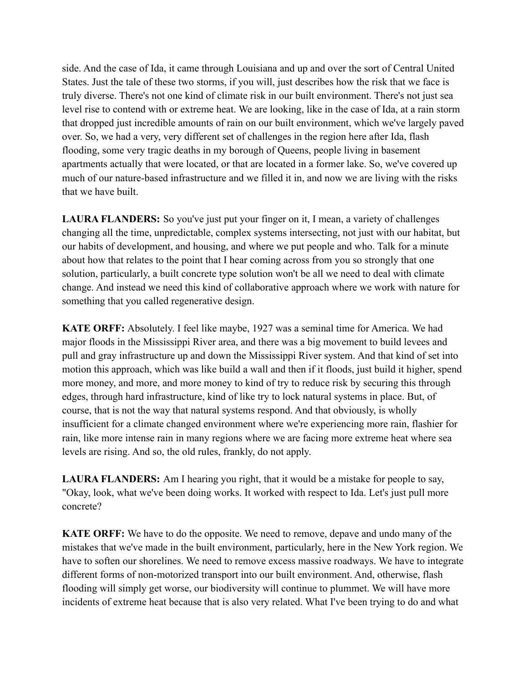side. And the case of Ida, it came through Louisiana and up and over the sort of Central United States. Just the tale of these two storms, if you will, just describes how the risk that we face is truly diverse. There's not one kind of climate risk in our built environment. There's not just sea level rise to contend with or extreme heat. We are looking, like in the case of Ida, at a rain storm that dropped just incredible amounts of rain on our built environment, which we've largely paved over. So, we had a very, very different set of challenges in the region here after Ida, flash flooding, some very tragic deaths in my borough of Queens, people living in basement apartments actually that were located, or that are located in a former lake. So, we've covered up much of our nature-based infrastructure and we filled it in, and now we are living with the risks that we have built.

**LAURA FLANDERS:** So you've just put your finger on it, I mean, a variety of challenges changing all the time, unpredictable, complex systems intersecting, not just with our habitat, but our habits of development, and housing, and where we put people and who. Talk for a minute about how that relates to the point that I hear coming across from you so strongly that one solution, particularly, a built concrete type solution won't be all we need to deal with climate change. And instead we need this kind of collaborative approach where we work with nature for something that you called regenerative design.

**KATE ORFF:** Absolutely. I feel like maybe, 1927 was a seminal time for America. We had major floods in the Mississippi River area, and there was a big movement to build levees and pull and gray infrastructure up and down the Mississippi River system. And that kind of set into motion this approach, which was like build a wall and then if it floods, just build it higher, spend more money, and more, and more money to kind of try to reduce risk by securing this through edges, through hard infrastructure, kind of like try to lock natural systems in place. But, of course, that is not the way that natural systems respond. And that obviously, is wholly insufficient for a climate changed environment where we're experiencing more rain, flashier for rain, like more intense rain in many regions where we are facing more extreme heat where sea levels are rising. And so, the old rules, frankly, do not apply.

**LAURA FLANDERS:** Am I hearing you right, that it would be a mistake for people to say, "Okay, look, what we've been doing works. It worked with respect to Ida. Let's just pull more concrete?

**KATE ORFF:** We have to do the opposite. We need to remove, depave and undo many of the mistakes that we've made in the built environment, particularly, here in the New York region. We have to soften our shorelines. We need to remove excess massive roadways. We have to integrate different forms of non-motorized transport into our built environment. And, otherwise, flash flooding will simply get worse, our biodiversity will continue to plummet. We will have more incidents of extreme heat because that is also very related. What I've been trying to do and what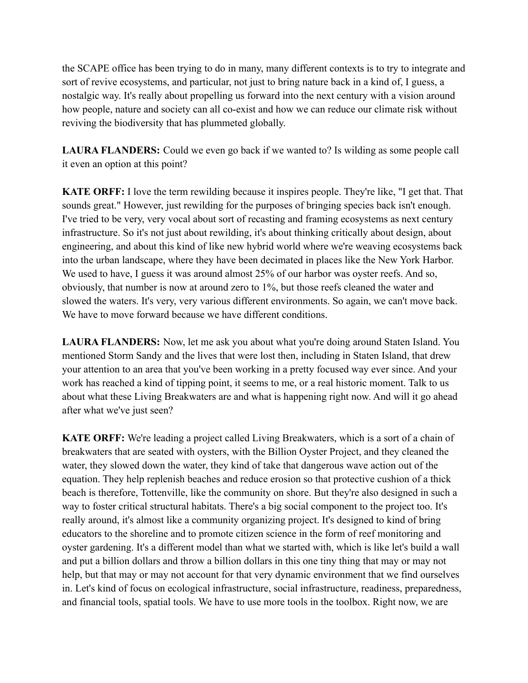the SCAPE office has been trying to do in many, many different contexts is to try to integrate and sort of revive ecosystems, and particular, not just to bring nature back in a kind of, I guess, a nostalgic way. It's really about propelling us forward into the next century with a vision around how people, nature and society can all co-exist and how we can reduce our climate risk without reviving the biodiversity that has plummeted globally.

**LAURA FLANDERS:** Could we even go back if we wanted to? Is wilding as some people call it even an option at this point?

**KATE ORFF:** I love the term rewilding because it inspires people. They're like, "I get that. That sounds great." However, just rewilding for the purposes of bringing species back isn't enough. I've tried to be very, very vocal about sort of recasting and framing ecosystems as next century infrastructure. So it's not just about rewilding, it's about thinking critically about design, about engineering, and about this kind of like new hybrid world where we're weaving ecosystems back into the urban landscape, where they have been decimated in places like the New York Harbor. We used to have, I guess it was around almost 25% of our harbor was oyster reefs. And so, obviously, that number is now at around zero to 1%, but those reefs cleaned the water and slowed the waters. It's very, very various different environments. So again, we can't move back. We have to move forward because we have different conditions.

**LAURA FLANDERS:** Now, let me ask you about what you're doing around Staten Island. You mentioned Storm Sandy and the lives that were lost then, including in Staten Island, that drew your attention to an area that you've been working in a pretty focused way ever since. And your work has reached a kind of tipping point, it seems to me, or a real historic moment. Talk to us about what these Living Breakwaters are and what is happening right now. And will it go ahead after what we've just seen?

**KATE ORFF:** We're leading a project called Living Breakwaters, which is a sort of a chain of breakwaters that are seated with oysters, with the Billion Oyster Project, and they cleaned the water, they slowed down the water, they kind of take that dangerous wave action out of the equation. They help replenish beaches and reduce erosion so that protective cushion of a thick beach is therefore, Tottenville, like the community on shore. But they're also designed in such a way to foster critical structural habitats. There's a big social component to the project too. It's really around, it's almost like a community organizing project. It's designed to kind of bring educators to the shoreline and to promote citizen science in the form of reef monitoring and oyster gardening. It's a different model than what we started with, which is like let's build a wall and put a billion dollars and throw a billion dollars in this one tiny thing that may or may not help, but that may or may not account for that very dynamic environment that we find ourselves in. Let's kind of focus on ecological infrastructure, social infrastructure, readiness, preparedness, and financial tools, spatial tools. We have to use more tools in the toolbox. Right now, we are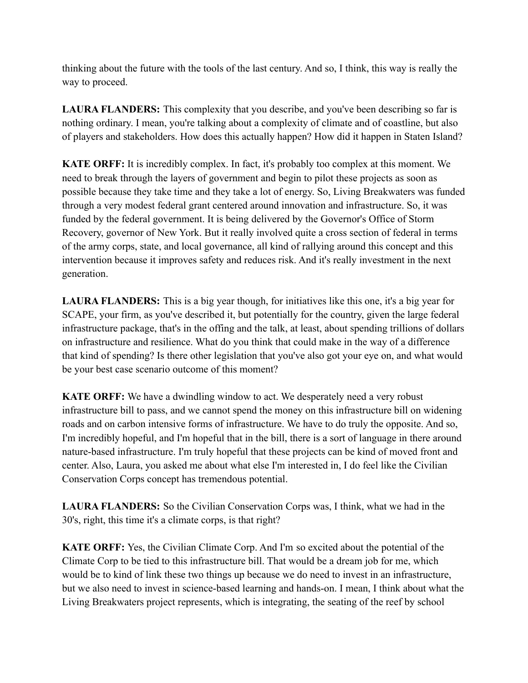thinking about the future with the tools of the last century. And so, I think, this way is really the way to proceed.

LAURA FLANDERS: This complexity that you describe, and you've been describing so far is nothing ordinary. I mean, you're talking about a complexity of climate and of coastline, but also of players and stakeholders. How does this actually happen? How did it happen in Staten Island?

**KATE ORFF:** It is incredibly complex. In fact, it's probably too complex at this moment. We need to break through the layers of government and begin to pilot these projects as soon as possible because they take time and they take a lot of energy. So, Living Breakwaters was funded through a very modest federal grant centered around innovation and infrastructure. So, it was funded by the federal government. It is being delivered by the Governor's Office of Storm Recovery, governor of New York. But it really involved quite a cross section of federal in terms of the army corps, state, and local governance, all kind of rallying around this concept and this intervention because it improves safety and reduces risk. And it's really investment in the next generation.

**LAURA FLANDERS:** This is a big year though, for initiatives like this one, it's a big year for SCAPE, your firm, as you've described it, but potentially for the country, given the large federal infrastructure package, that's in the offing and the talk, at least, about spending trillions of dollars on infrastructure and resilience. What do you think that could make in the way of a difference that kind of spending? Is there other legislation that you've also got your eye on, and what would be your best case scenario outcome of this moment?

**KATE ORFF:** We have a dwindling window to act. We desperately need a very robust infrastructure bill to pass, and we cannot spend the money on this infrastructure bill on widening roads and on carbon intensive forms of infrastructure. We have to do truly the opposite. And so, I'm incredibly hopeful, and I'm hopeful that in the bill, there is a sort of language in there around nature-based infrastructure. I'm truly hopeful that these projects can be kind of moved front and center. Also, Laura, you asked me about what else I'm interested in, I do feel like the Civilian Conservation Corps concept has tremendous potential.

**LAURA FLANDERS:** So the Civilian Conservation Corps was, I think, what we had in the 30's, right, this time it's a climate corps, is that right?

**KATE ORFF:** Yes, the Civilian Climate Corp. And I'm so excited about the potential of the Climate Corp to be tied to this infrastructure bill. That would be a dream job for me, which would be to kind of link these two things up because we do need to invest in an infrastructure, but we also need to invest in science-based learning and hands-on. I mean, I think about what the Living Breakwaters project represents, which is integrating, the seating of the reef by school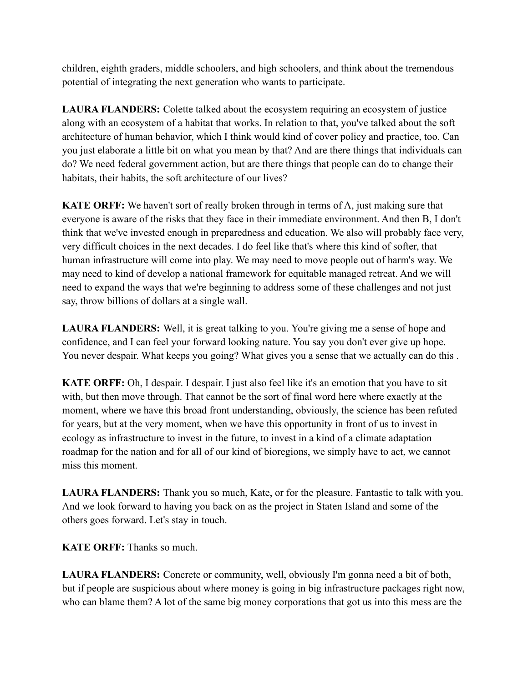children, eighth graders, middle schoolers, and high schoolers, and think about the tremendous potential of integrating the next generation who wants to participate.

**LAURA FLANDERS:** Colette talked about the ecosystem requiring an ecosystem of justice along with an ecosystem of a habitat that works. In relation to that, you've talked about the soft architecture of human behavior, which I think would kind of cover policy and practice, too. Can you just elaborate a little bit on what you mean by that? And are there things that individuals can do? We need federal government action, but are there things that people can do to change their habitats, their habits, the soft architecture of our lives?

**KATE ORFF:** We haven't sort of really broken through in terms of A, just making sure that everyone is aware of the risks that they face in their immediate environment. And then B, I don't think that we've invested enough in preparedness and education. We also will probably face very, very difficult choices in the next decades. I do feel like that's where this kind of softer, that human infrastructure will come into play. We may need to move people out of harm's way. We may need to kind of develop a national framework for equitable managed retreat. And we will need to expand the ways that we're beginning to address some of these challenges and not just say, throw billions of dollars at a single wall.

**LAURA FLANDERS:** Well, it is great talking to you. You're giving me a sense of hope and confidence, and I can feel your forward looking nature. You say you don't ever give up hope. You never despair. What keeps you going? What gives you a sense that we actually can do this .

**KATE ORFF:** Oh, I despair. I despair. I just also feel like it's an emotion that you have to sit with, but then move through. That cannot be the sort of final word here where exactly at the moment, where we have this broad front understanding, obviously, the science has been refuted for years, but at the very moment, when we have this opportunity in front of us to invest in ecology as infrastructure to invest in the future, to invest in a kind of a climate adaptation roadmap for the nation and for all of our kind of bioregions, we simply have to act, we cannot miss this moment.

**LAURA FLANDERS:** Thank you so much, Kate, or for the pleasure. Fantastic to talk with you. And we look forward to having you back on as the project in Staten Island and some of the others goes forward. Let's stay in touch.

**KATE ORFF:** Thanks so much.

**LAURA FLANDERS:** Concrete or community, well, obviously I'm gonna need a bit of both, but if people are suspicious about where money is going in big infrastructure packages right now, who can blame them? A lot of the same big money corporations that got us into this mess are the